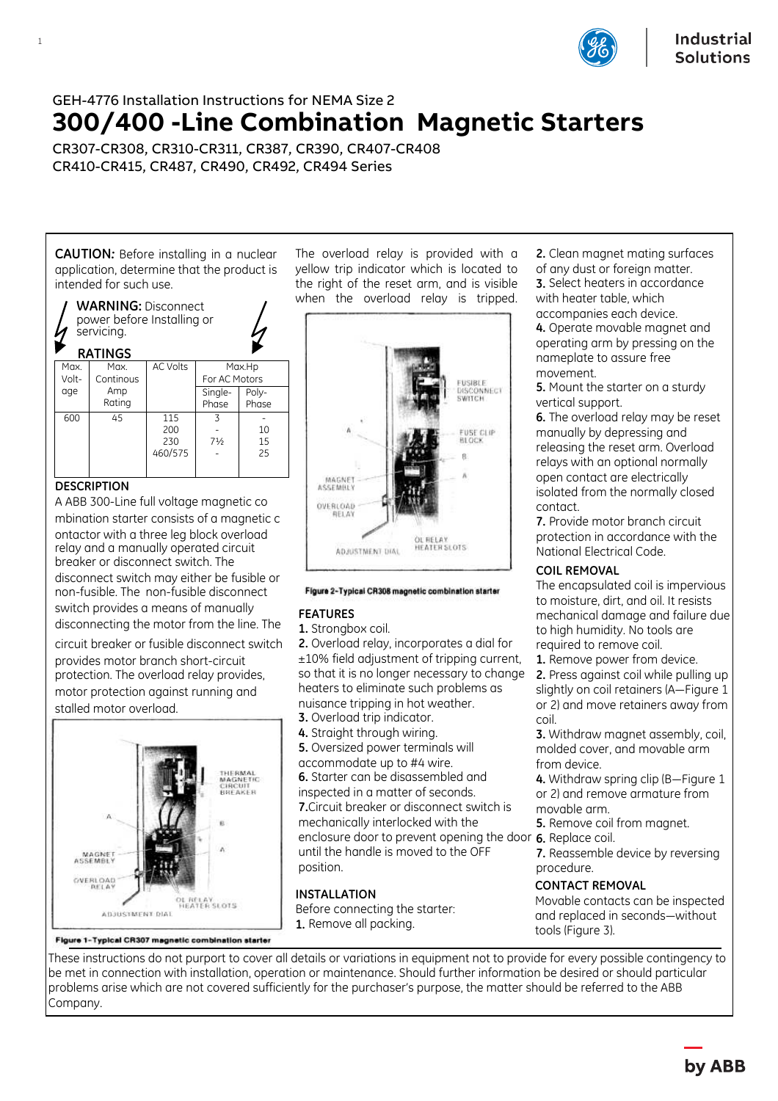

# GEH-4776 Installation Instructions for NEMA Size 2 **300/400 -Line Combination Magnetic Starters**

CR307-CR308, CR310-CR311, CR387, CR390, CR407-CR408 CR410-CR415, CR487, CR490, CR492, CR494 Series

**CAUTION***:* Before installing in a nuclear application, determine that the product is intended for such use.



# **DESCRIPTION**

1

A ABB 300-Line full voltage magnetic co mbination starter consists of a magnetic c ontactor with a three leg block overload relay and a manually operated circuit breaker or disconnect switch. The disconnect switch may either be fusible or non-fusible. The non-fusible disconnect switch provides a means of manually disconnecting the motor from the line. The

circuit breaker or fusible disconnect switch provides motor branch short-circuit protection. The overload relay provides, motor protection against running and stalled motor overload.



Figure 1-Typical CR307 magnetic combination starter

The overload relay is provided with a yellow trip indicator which is located to the right of the reset arm, and is visible when the overload relay is tripped.



### Figure 2-Typical CR308 magnetic combination starter

## **FEATURES**

**1.** Strongbox coil.

**2.** Overload relay, incorporates a dial for ±10% field adjustment of tripping current, so that it is no longer necessary to change heaters to eliminate such problems as nuisance tripping in hot weather.

**3.** Overload trip indicator.

**4.** Straight through wiring.

**5.** Oversized power terminals will accommodate up to #4 wire. **6.** Starter can be disassembled and inspected in a matter of seconds. **7.**Circuit breaker or disconnect switch is mechanically interlocked with the enclosure door to prevent opening the door **6.** Replace coil. until the handle is moved to the OFF position.

# **INSTALLATION**

Before connecting the starter: **1.** Remove all packing.

**2.** Clean magnet mating surfaces of any dust or foreign matter. **3.** Select heaters in accordance with heater table, which accompanies each device.

**4.** Operate movable magnet and operating arm by pressing on the nameplate to assure free movement.

**5.** Mount the starter on a sturdy vertical support.

**6.** The overload relay may be reset manually by depressing and releasing the reset arm. Overload relays with an optional normally open contact are electrically isolated from the normally closed contact.

**7.** Provide motor branch circuit protection in accordance with the National Electrical Code.

## **COIL REMOVAL**

The encapsulated coil is impervious to moisture, dirt, and oil. It resists mechanical damage and failure due to high humidity. No tools are required to remove coil.

**1.** Remove power from device.

**2.** Press against coil while pulling up slightly on coil retainers (A—Figure 1 or 2) and move retainers away from coil.

**3.** Withdraw magnet assembly, coil, molded cover, and movable arm from device.

**4.** Withdraw spring clip (B—Figure 1 or 2) and remove armature from movable arm.

- **5.** Remove coil from magnet.
- 

**7.** Reassemble device by reversing procedure.

# **CONTACT REMOVAL**

Movable contacts can be inspected and replaced in seconds—without tools (Figure 3).

These instructions do not purport to cover all details or variations in equipment not to provide for every possible contingency to be met in connection with installation, operation or maintenance. Should further information be desired or should particular problems arise which are not covered sufficiently for the purchaser's purpose, the matter should be referred to the ABB Company.